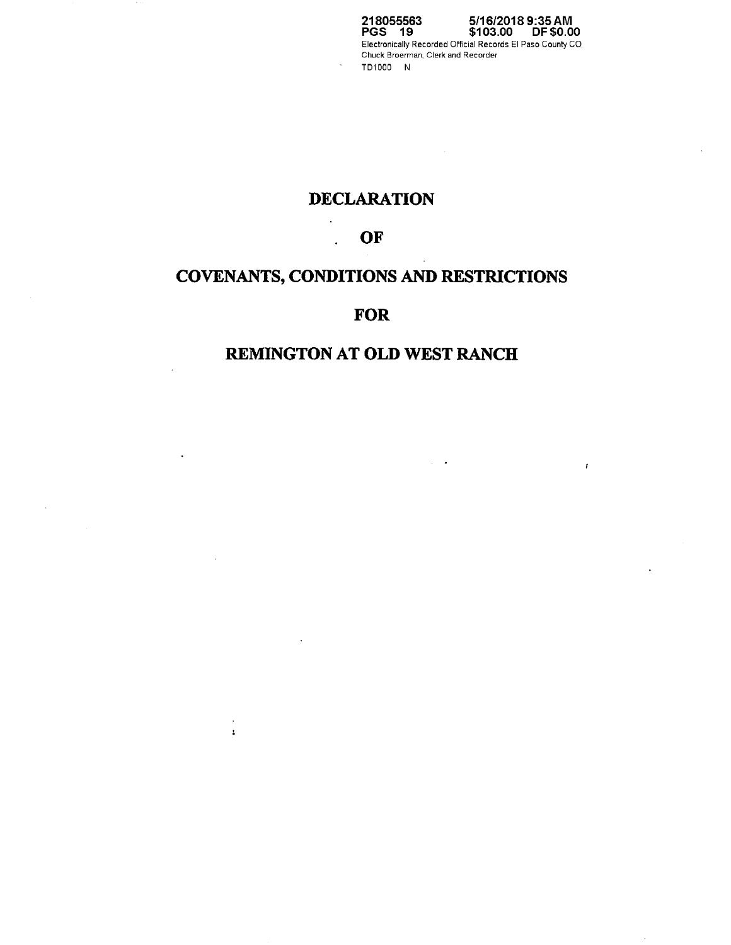**218055563 PGS 19 5/16/2018 9:35AM \$103.00 DF \$0.00**  Electronically Recorded Official Records El Paso County CO Chuck Broerman, Clerk and Recorder TD1000 N

## **DECLARATION**

## **OF**

L.

 $\alpha$  $\mathbf{t}$ 

# **COVENANTS, CONDITIONS AND RESTRICTIONS**

## **FOR**

# **REMINGTON AT OLD WEST RANCH**

 $\langle \cdot \rangle$ 

 $\pmb{r}$ 

 $\ddot{\phantom{a}}$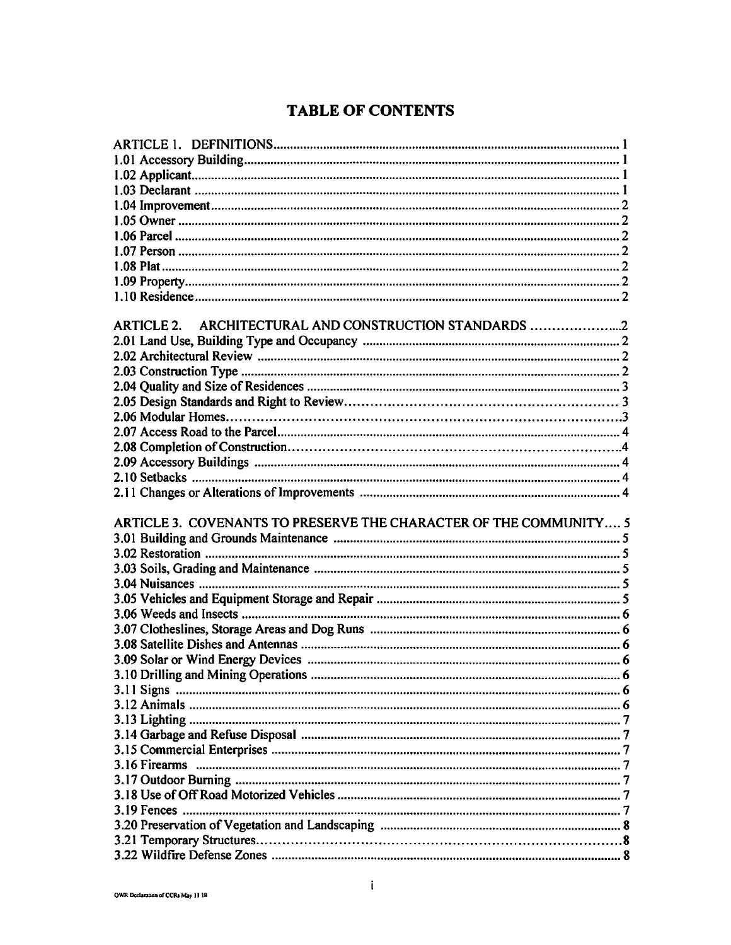# **TABLE OF CONTENTS**

| ARTICLE 2. ARCHITECTURAL AND CONSTRUCTION STANDARDS               |  |
|-------------------------------------------------------------------|--|
|                                                                   |  |
|                                                                   |  |
|                                                                   |  |
|                                                                   |  |
|                                                                   |  |
|                                                                   |  |
|                                                                   |  |
|                                                                   |  |
|                                                                   |  |
|                                                                   |  |
|                                                                   |  |
|                                                                   |  |
|                                                                   |  |
|                                                                   |  |
| ARTICLE 3. COVENANTS TO PRESERVE THE CHARACTER OF THE COMMUNITY 5 |  |
|                                                                   |  |
|                                                                   |  |
|                                                                   |  |
|                                                                   |  |
|                                                                   |  |
|                                                                   |  |
|                                                                   |  |
|                                                                   |  |
|                                                                   |  |
|                                                                   |  |
|                                                                   |  |
|                                                                   |  |
|                                                                   |  |
|                                                                   |  |
|                                                                   |  |
|                                                                   |  |
|                                                                   |  |
|                                                                   |  |
|                                                                   |  |
|                                                                   |  |
|                                                                   |  |
|                                                                   |  |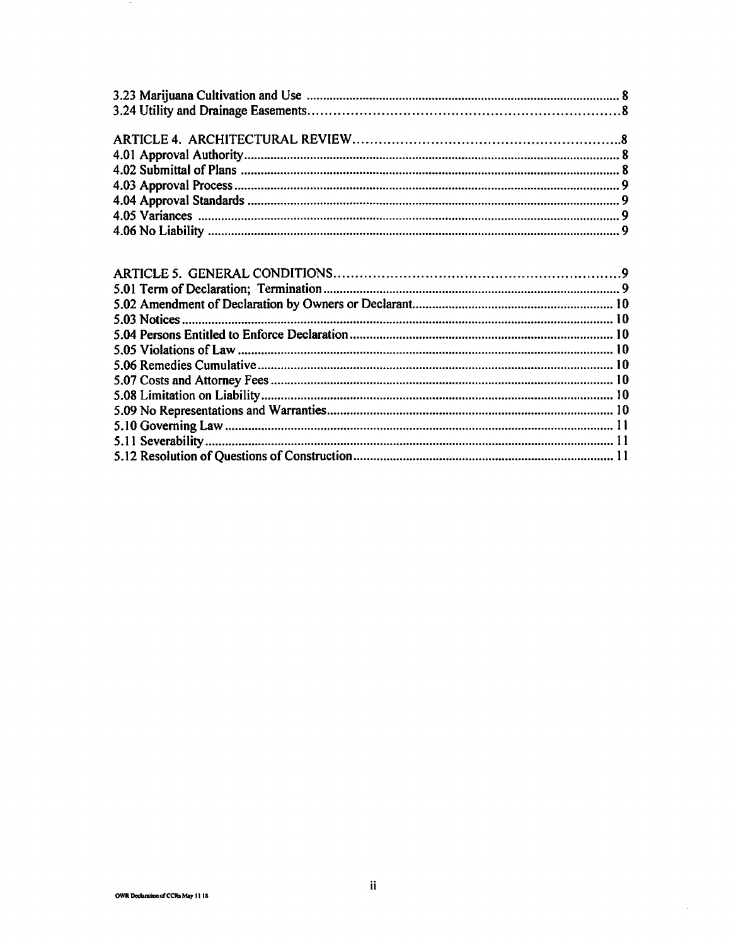| $\mathcal{L}$ , and $\mathcal{L}$ , and $\mathcal{L}$ , and $\mathcal{L}$ , and $\mathcal{L}$ , and $\mathcal{L}$ , and $\mathcal{L}$ |  |
|---------------------------------------------------------------------------------------------------------------------------------------|--|

 $\sim$ 

 $\mathcal{A}^{\mathcal{A}}$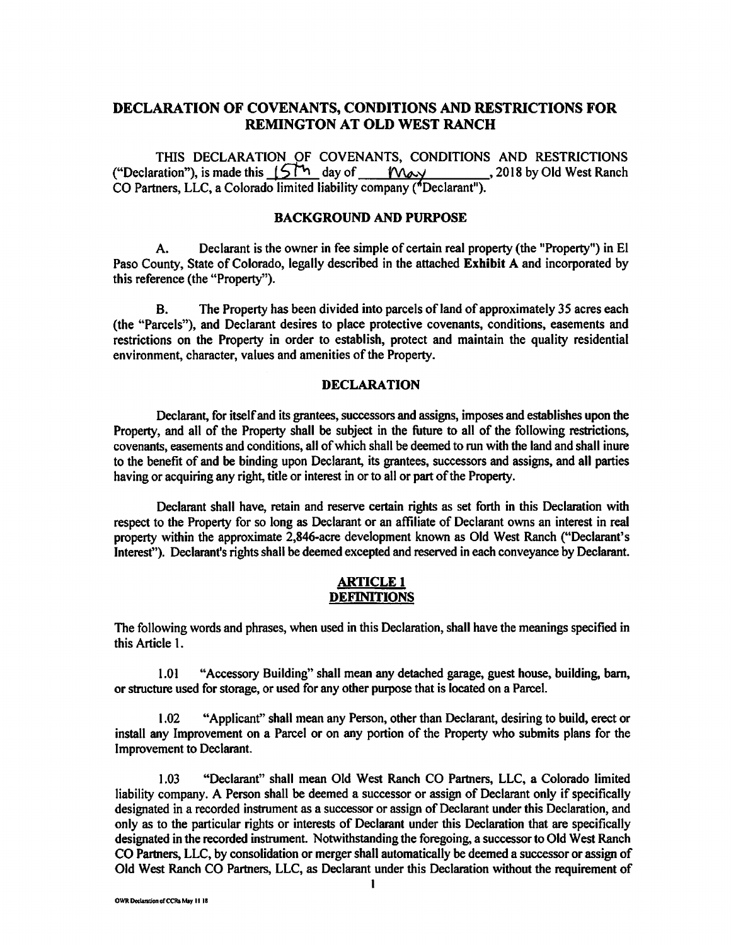## **DECLARATION OF COVENANTS, CONDITIONS AND RESTRICTIONS FOR REMINGTON AT OLD WEST RANCH**

THIS DECLARATION OF COVENANTS, CONDITIONS AND RESTRICTIONS ("Declaration"), is made this  $15<sup>th</sup>$  day of *Word* 2018 by Old West Ranch CO Partners, LLC, a Colorado limited liability company ("Declarant").

#### **BACKGROUND AND PURPOSE**

A. Declarant is the owner in fee simple of certain real property (the "Property") in El Paso County, State of Colorado, legally described in the attached **Exhibit A** and incorporated by this reference (the "Property").

B. The Property has been divided into parcels of land of approximately 35 acres each (the "Parcels"), and Declarant desires to place protective covenants, conditions, easements and restrictions on the Property in order to establish, protect and maintain the quality residential environment, character, values and amenities of the Property.

### **DECLARATION**

Declarant. for itself and its grantees, successors and assigns, imposes and establishes upon the Property, and all of the Property shall be subject in the future to all of the following restrictions, covenants, easements and conditions, all of which shall be deemed to run with the land and shall inure to the benefit of and be binding upon Declarant, its grantees, successors and assigns, and all parties having or acquiring any right, title or interest in or to all or part of the Property.

Declarant shall have, retain and reserve certain rights as set forth in this Declaration with respect to the Property for so long as Declarant or an affiliate of Declarant owns an interest in real property within the approximate 2,846-acre development known as Old West Ranch ("Declarant's Interest"). Declarant's rights shall be deemed excepted and reserved in each conveyance by Declarant.

### **ARTICLE 1 DEFINITIONS**

The following words and phrases, when used in this Declaration, shall have the meanings specified in this Article 1.

1.01 "Accessory Building" shall mean any detached garage, guest house, building, barn, or structure used for storage, or used for any other purpose that is located on a Parcel.

1.02 "Applicant" shall mean any Person, other than Declarant, desiring to build, erect or install any Improvement on a Parcel or on any portion of the Property who submits plans for the Improvement to Declarant.

1.03 "Declarant" shall mean Old West Ranch CO Partners, LLC, a Colorado limited liability company. A Person shall be deemed a successor or assign of Declarant only if specifically designated in a recorded instrument as a successor or assign of Declarant under this Declaration, and only as to the particular rights or interests of Declarant under this Declaration that are specifically designated in the recorded instrument. Notwithstanding the foregoing, a successor to Old West Ranch CO Partners, LLC, by consolidation or merger shall automatically be deemed a successor or assign of Old West Ranch CO Partners, LLC, as Declarant under this Declaration without the requirement of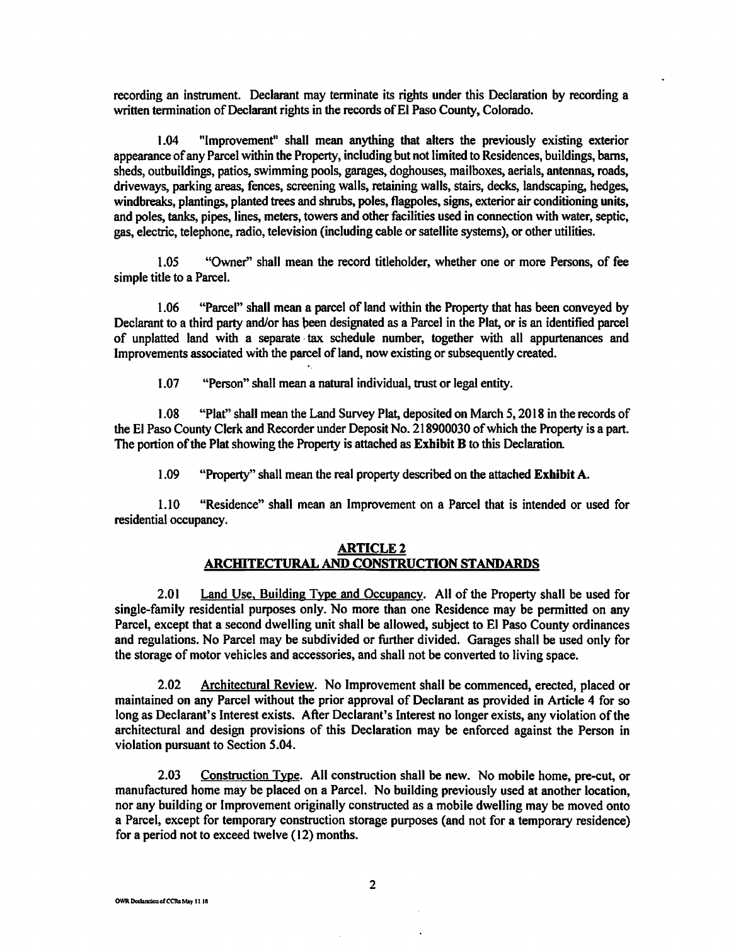recording an instrument. Declarant may terminate its rights under this Declaration by recording a written termination of Declarant rights in the records of El Paso County, Colorado.

1.04 "Improvement" shall mean anything that alters the previously existing exterior appearance of any Parcel within the Property, including but not limited to Residences, buildings, barns, sheds, outbuildings, patios, swimming pools, garages, doghouses, mailboxes, aerials, antennas, roads, driveways, parking areas, fences, screening walls, retaining walls, stairs, decks, landscaping, hedges, windbreaks, plantings, planted trees and shrubs, poles, flagpoles, signs, exterior air conditioning units, and poles, tanks, pipes, lines, meters, towers and other facilities used in connection with water, septic, gas, electric, telephone, radio, television (including cable or satellite systems), or other utilities.

1.05 "Owner'' shall mean the record titleholder, whether one or more Persons, of fee simple title to a Parcel.

1.06 "Parcel" shall mean a parcel of land within the Property that has been conveyed by Declarant to a third party and/or has been designated as a Parcel in the Plat, or is an identified parcel of unplatted land with a separate · tax schedule number, together with all appurtenances and Improvements associated with the parcel of land, now existing or subsequently created.

1.07 "Person" shall mean a natural individual, trust or legal entity.

1.08 "Plat" shall mean the Land Survey Plat, deposited on March *5,* 2018 in the records of the El Paso County Clerk and Recorder under Deposit No. 218900030 of which the Property is a part. The portion of the Plat showing the Property is attached as **Exhibit B** to this Declaration

1.09 "Property" shall mean the real property described on the attached **Exhibit A.** 

1.10 "Residence" shall mean an Improvement on a Parcel that is intended or used for residential occupancy.

#### **ARTICLE2 ARCHITECTURAL AND CONSTRUCTION STANDARDS**

2.01 Land Use, Building Type and Occupancy. All of the Property shall be used for single-family residential purposes only. No more than one Residence may be permitted on any Parcel, except that a second dwelling unit shall be allowed, subject to El Paso County ordinances and regulations. No Parcel may be subdivided or further divided. Garages shall be used only for the storage of motor vehicles and accessories, and shall not be converted to living space.

2.02 Architectural Review. No Improvement shall be commenced, erected, placed or maintained on any Parcel without the prior approval of Declarant as provided in Article 4 for so long as Declarant's Interest exists. After Declarant's Interest no longer exists, any violation of the architectural and design provisions of this Declaration may be enforced against the Person in violation pursuant to Section 5.04.

2.03 Construction Type. All construction shall be new. No mobile home, pre-cut, or manufactured home may be placed on a Parcel. No building previously used at another location, nor any building or Improvement originally constructed as a mobile dwelling may be moved onto a Parcel, except for temporary construction storage purposes (and not for a temporary residence) for a period not to exceed twelve ( 12) months.

OWR Declaration of CCRs May 11 18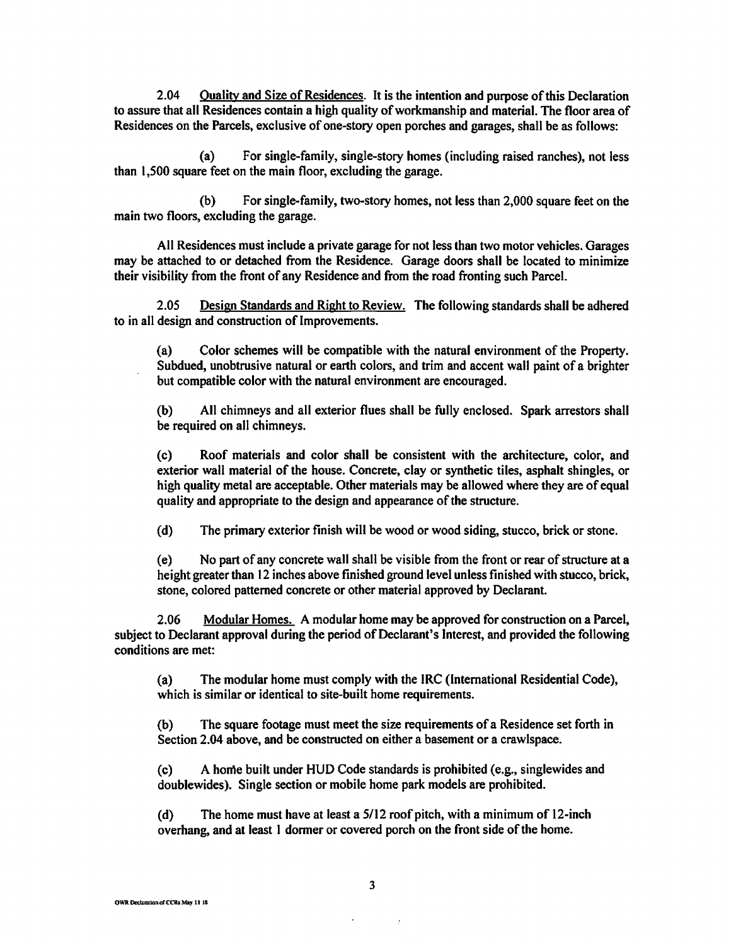2.04 Quality and Size of Residences. It is the intention and purpose of this Declaration to assure that all Residences contain a high quality of workmanship and material. The floor area of Residences on the Parcels, exclusive of one-story open porches and garages, shall be as follows:

(a) For single-family, single-story homes (including raised ranches), not less than 1,500 square feet on the main floor, excluding the garage.

(b) For single-family, two-story homes, not less than 2,000 square feet on the main two floors, excluding the garage.

All Residences must include a private garage for not less than two motor vehicles. Garages may be attached to or detached from the Residence. Garage doors shall be located to minimize their visibility from the front of any Residence and from the road fronting such Parcel.

2.05 Design Standards and Right to Review. The following standards shall be adhered to in all design and construction of Improvements.

(a) Color schemes will be compatible with the natural environment of the Property. Subdued, unobtrusive natural or earth colors, and trim and accent wall paint of a brighter but compatible color with the natural environment are encouraged.

(b) All chimneys and all exterior flues shall be fully enclosed. Spark arrestors shall be required on all chimneys.

(c) Roof materials and color shall be consistent with the architecture, color, and exterior wall material of the house. Concrete, clay or synthetic tiles, asphalt shingles, or high quality metal are acceptable. Other materials may be allowed where they are of equal quality and appropriate to the design and appearance of the structure.

(d) The primary exterior finish will be wood or wood siding, stucco, brick or stone.

( e) No part of any concrete wall shall be visible from the front or rear of structure at a height greater than 12 inches above finished ground level unless finished with stucco, brick, stone, colored patterned concrete or other material approved by Declarant.

2.06 Modular Homes. A modular home may be approved for construction on a Parcel, subject to Declarant approval during the period of Declarant's Interest, and provided the following conditions are met:

(a) The modular home must comply with the IRC (International Residential Code), which is similar or identical to site-built home requirements.

(b) The square footage must meet the size requirements of a Residence set forth in Section 2.04 above, and be constructed on either a basement or a crawlspace.

(c) A home built under HUD Code standards is prohibited (e.g., singlewides and doublewides). Single section or mobile home park models are prohibited.

(d) The home must have at least a 5/12 roof pitch, with a minimum of 12-inch overhang, and at least I dormer or covered porch on the front side of the home.

 $\mathcal{L}$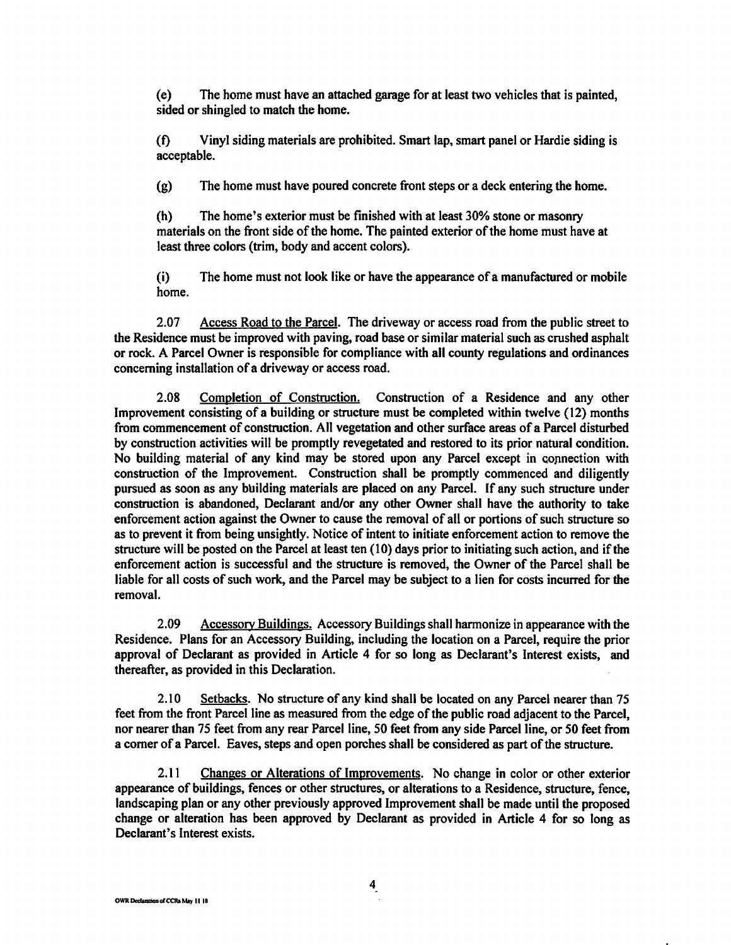( e) The home must have an attached garage for at least two vehicles that is painted, sided or shingled to match the home.

(t) Vinyl siding materials are prohibited. Smart lap, smart panel or Hardie siding is acceptable.

(g) The home must have poured concrete front steps or a deck entering the home.

(h) The home's exterior must be finished with at least 30% stone or masonry materials on the front side of the home. The painted exterior of the home must have at least three colors (trim, body and accent colors).

(i) The home must not look like or have the appearance of a manufactured or mobile home.

2.07 Access Road to the Parcel. The driveway or access road from the public street to the Residence must be improved with paving, road base or similar material such as crushed asphalt or rock. A Parcel Owner is responsible for compliance with all county regulations and ordinances concerning installation of a driveway or access road.

2.08 Completion of Construction. Construction of a Residence and any other Improvement consisting of a building or structure must be completed within twelve ( 12) months from commencement of construction. All vegetation and other surface areas of a Parcel disturbed by construction activities will be promptly revegetated and restored to its prior natural condition. No building material of any kind may be stored upon any Parcel except in copnection with construction of the Improvement. Construction shall be promptly commenced and diligently pursued as soon as any building materials are placed on any Parcel. If any such structure under construction is abandoned, Declarant and/or any other Owner shall have the authority to take enforcement action against the Owner to cause the removal of all or portions of such structure so as to prevent it from being unsightly. Notice of intent to initiate enforcement action to remove the structure will be posted on the Parcel at least ten ( 10) days prior to initiating such action, and if the enforcement action is successful and the structure is removed, the Owner of the Parcel shall be liable for all costs of such work, and the Parcel may be subject to a lien for costs incurred for the removal.

2.09 Accessory Buildings. Accessory Buildings shall harmonize in appearance with the Residence. Plans for an Accessory Building, including the location on a Parcel, require the prior approval of Declarant as provided in Article 4 for so long as Declarant's Interest exists, and thereafter, as provided in this Declaration.

2.10 Setbacks. No structure of any kind shall be located on any Parcel nearer than 75 feet from the front Parcel line as measured from the edge of the public road adjacent to the Parcel, nor nearer than 75 feet from any rear Parcel line, 50 feet from any side Parcel line, or 50 feet from a comer of a Parcel. Eaves, steps and open porches shall be considered as part of the structure.

2.11 Changes or Alterations of Improvements. No change in color or other exterior appearance of buildings, fences or other structures, or alterations to a Residence, structure, fence, landscaping plan or any other previously approved Improvement shall be made until the proposed change or alteration has been approved by Declarant as provided in Article 4 for so long as Declarant's Interest exists.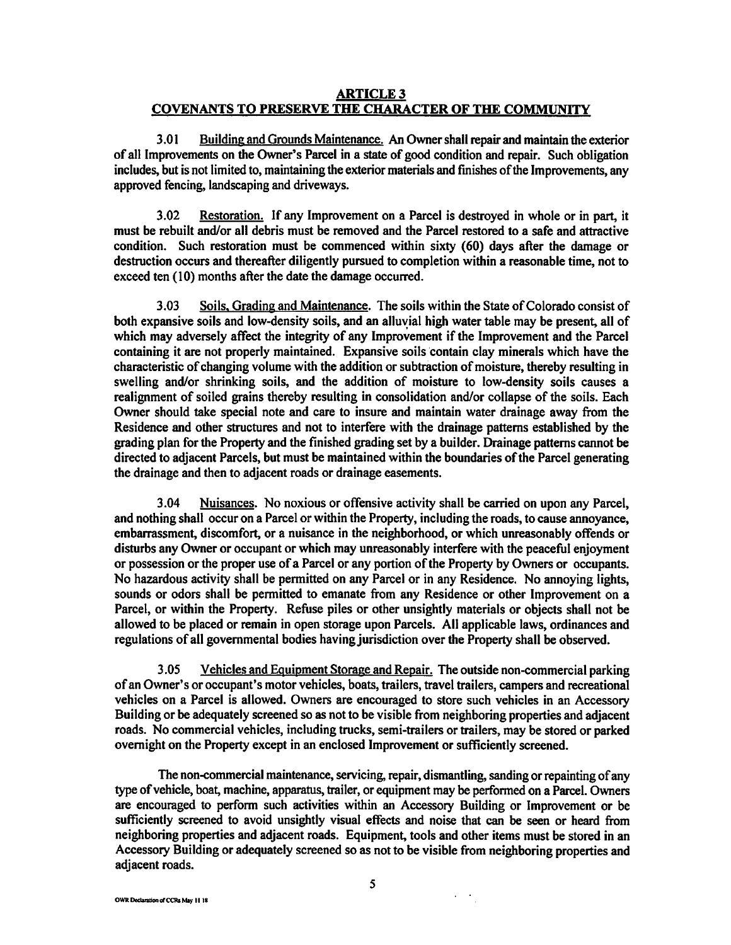### **ARTICLE3 COVENANTS TO PRESERVE THE CHARACTER OF THE COMMUNITY**

3.01 Building and Grounds Maintenance. An Owner shall repair and maintain the exterior of all Improvements on the Owner's Parcel in a state of good condition and repair. Such obligation includes, but is not limited to, maintaining the exterior materials and finishes of the Improvements, any approved fencing, landscaping and driveways.

3.02 Restoration. If any Improvement on a Parcel is destroyed in whole or in part, it must be rebuilt and/or all debris must be removed and the Parcel restored to a safe and attractive condition. Such restoration must be commenced within sixty (60) days after the damage or destruction occurs and thereafter diligently pursued to completion within a reasonable time, not to exceed ten (10) months after the date the damage occurred.

3.03 Soils. Grading and Maintenance. The soils within the State of Colorado consist of both expansive soils and low-density soils, and an alluvial high water table may be present, all of which may adversely affect the integrity of any Improvement if the Improvement and the Parcel containing it are not properly maintained. Expansive soils contain clay minerals which have the characteristic of changing volume with the addition or subtraction of moisture, thereby resulting in swelling and/or shrinking soils, and the addition of moisture to low-density soils causes a realignment of soiled grains thereby resulting in consolidation and/or collapse of the soils. Each Owner should take special note and care to insure and maintain water drainage away from the Residence and other structures and not to interfere with the drainage patterns established by the grading plan for the Property and the finished grading set by a builder. Drainage patterns cannot be directed to adjacent Parcels, but must be maintained within the boundaries of the Parcel generating the drainage and then to adjacent roads or drainage easements.

3.04 Nuisances. No noxious or offensive activity shall be carried on upon any Parcel, and nothing shall occur on a Parcel or within the Property, including the roads, to cause annoyance, embarrassment, discomfort, or a nuisance in the neighborhood, or which unreasonably offends or disturbs any Owner or occupant or which may unreasonably interfere with the peaceful enjoyment or possession or the proper use of a Parcel or any portion of the Property by Owners or occupants. No hazardous activity shall be permitted on any Parcel or in any Residence. No annoying lights, sounds or odors shall be permitted to emanate from any Residence or other Improvement on a Parcel, or within the Property. Refuse piles or other unsightly materials or objects shall not be allowed to be placed or remain in open storage upon Parcels. All applicable laws, ordinances and regulations of all governmental bodies having jurisdiction over the Property shall be observed.

3.05 Vehicles and Equipment Storage and Repair. The outside non-commercial parking of an Owner's or occupant's motor vehicles, boats, trailers, travel trailers, campers and recreational vehicles on a Parcel is allowed. Owners are encouraged to store such vehicles in an Accessory Building or be adequately screened so as not to be visible from neighboring properties and adjacent roads. No commercial vehicles, including trucks, semi-trailers or trailers, may be stored or parked overnight on the Property except in an enclosed Improvement or sufficiently screened.

The non-commercial maintenance, servicing, repair, dismantling, sanding or repainting of any type of vehicle, boat, machine, apparatus, trailer, or equipment may be performed on a Parcel. Owners are encouraged to perform such activities within an Accessory Building or Improvement or be sufficiently screened to avoid unsightly visual effects and noise that can be seen or heard from neighboring properties and adjacent roads. Equipment, tools and other items must be stored in an Accessory Building or adequately screened so as not to be visible from neighboring properties and adjacent roads.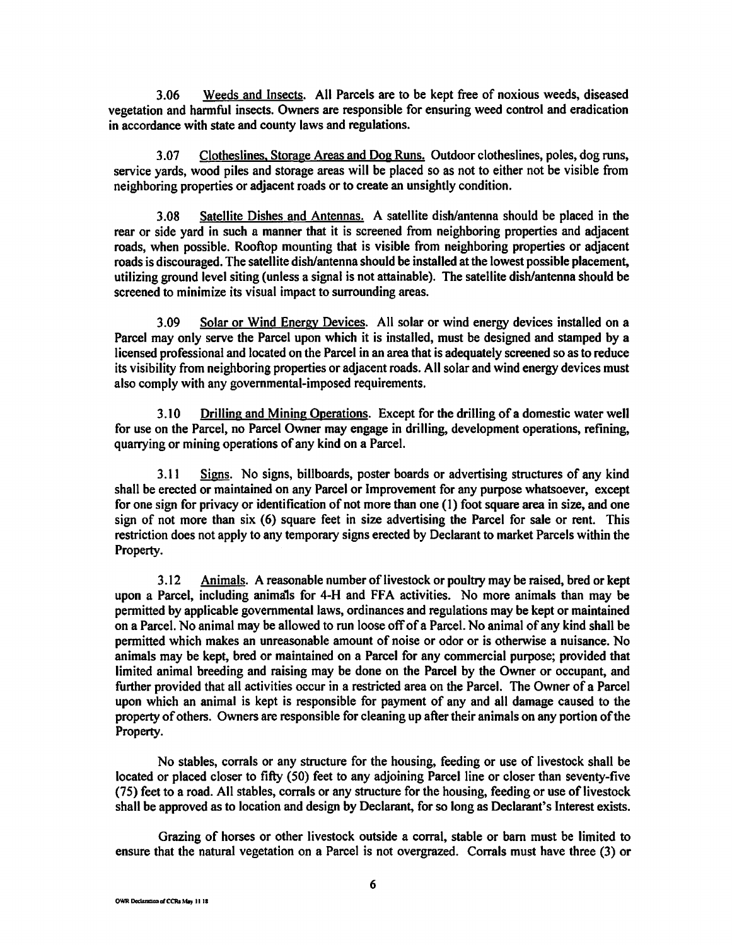3.06 Weeds and Insects. All Parcels are to be kept free of noxious weeds, diseased vegetation and hannful insects. Owners are responsible for ensuring weed control and eradication in accordance with state and county laws and regulations.

3 .07 Clotheslines, Storage Areas and Dog Runs. Outdoor clotheslines, poles, dog runs, service yards, wood piles and storage areas will be placed so as not to either not be visible from neighboring properties or adjacent roads or to create an unsightly condition.

3.08 Satellite Dishes and Antennas. A satellite dish/antenna should be placed in the rear or side yard in such a manner that it is screened from neighboring properties and adjacent roads, when possible. Rooftop mounting that is visible from neighboring properties or adjacent roads is discouraged. The satellite dish/antenna should be installed at the lowest possible placement, utilizing ground level siting (unless a signal is not attainable). The satellite dish/antenna should be screened to minimize its visual impact to surrounding areas.

3.09 Solar or Wind Energy Devices. All solar or wind energy devices installed on a Parcel may only serve the Parcel upon which it is installed, must be designed and stamped by a licensed professional and located on the Parcel in an area that is adequately screened so as to reduce its visibility from neighboring properties or adjacent roads. All solar and wind energy devices must also comply with any governmental-imposed requirements.

3 .10 Drilling and Mining Operations. Except for the drilling of a domestic water well for use on the Parcel, no Parcel Owner may engage in drilling, development operations, refining, quarrying or mining operations of any kind on a Parcel.

3.11 Signs. No signs, billboards, poster boards or advertising structures of any kind shall be erected or maintained on any Parcel or Improvement for any purpose whatsoever, except for one sign for privacy or identification of not more than one (1) foot square area in size, and one sign of not more than six (6) square feet in size advertising the Parcel for sale or rent. This restriction does not apply to any temporary signs erected by Declarant to market Parcels within the Property.

3 .12 Animals. A reasonable number of livestock or poultry may be raised, bred or kept upon a Parcel, including animals for 4-H and FFA activities. No more animals than may be permitted by applicable governmental laws, ordinances and regulations may be kept or maintained on a Parcel. No animal may be allowed to run loose off of a Parcel. No animal of any kind shall be permitted which makes an unreasonable amount of noise or odor or is otherwise a nuisance. No animals may be kept, bred or maintained on a Parcel for any commercial purpose; provided that limited animal breeding and raising may be done on the Parcel by the Owner or occupant, and further provided that all activities occur in a restricted area on the Parcel. The Owner of a Parcel upon which an animal is kept is responsible for payment of any and all damage caused to the property of others. Owners are responsible for cleaning up after their animals on any portion of the Property.

No stables, corrals or any structure for the housing, feeding or use of livestock shall be located or placed closer to fifty (SO) feet to any adjoining Parcel line or closer than seventy-five (75) feet to a road. All stables, corrals or any structure for the housing, feeding or use of livestock shall be approved as to location and design by Declarant, for so long as Declarant's Interest exists.

Grazing of horses or other livestock outside a corral, stable or barn must be limited to ensure that the natural vegetation on a Parcel is not overgrazed. Corrals must have three (3) or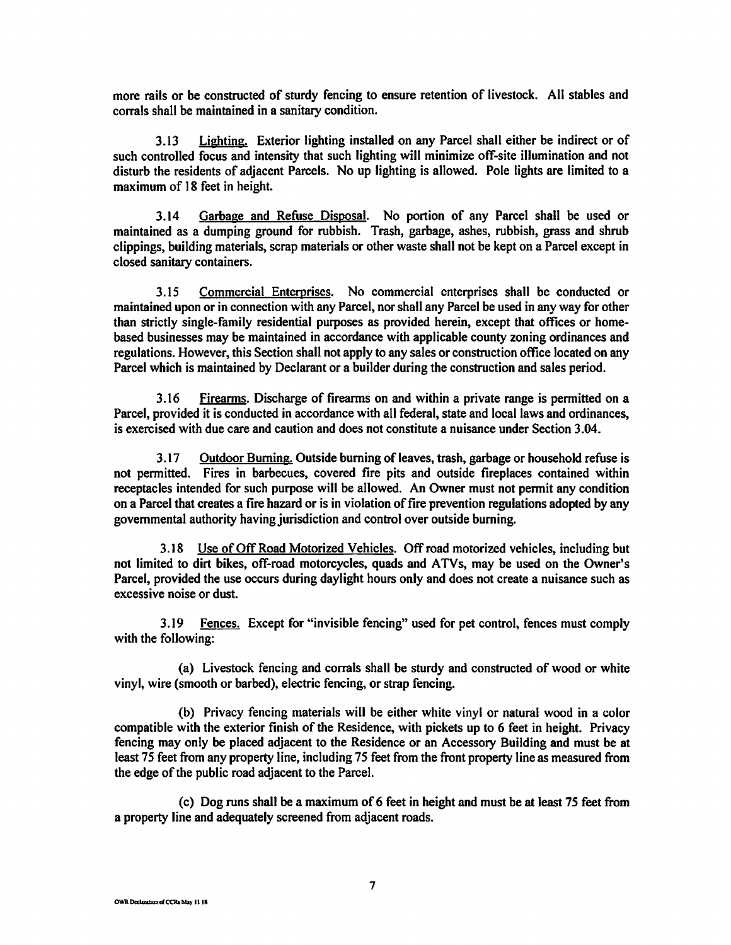more rails or be constructed of sturdy fencing to ensure retention of livestock. All stables and corrals shall be maintained in a sanitary condition.

3.13 Lighting. Exterior lighting installed on any Parcel shall either be indirect or of such controlled focus and intensity that such lighting will minimize off-site illumination and not disturb the residents of adjacent Parcels. No up lighting is allowed. Pole lights are limited to a maximum of 18 feet in height.

3.14 Garbage and Refuse Disposal. No portion of any Parcel shall be used or maintained as a dumping ground for rubbish. Trash, garbage, ashes, rubbish, grass and shrub clippings, building materials, scrap materials or other waste shall not be kept on a Parcel except in closed sanitary containers.

3.15 Commercial Enterprises. No commercial enterprises shall be conducted or maintained upon or in connection with any Parcel, nor shall any Parcel be used in any way for other than strictly single-family residential purposes as provided herein, except that offices or homebased businesses may be maintained in accordance with applicable county zoning ordinances and regulations. However, this Section shall not apply to any sales or construction office located on any Parcel which is maintained by Declarant or a builder during the construction and sales period.

3.16 Firearms. Discharge of firearms on and within a private range is permitted on a Parcel, provided it is conducted in accordance with all federal, state and local laws and ordinances, is exercised with due care and caution and does not constitute a nuisance under Section 3.04.

3.17 Outdoor Burning. Outside burning of leaves, trash, garbage or household refuse is not permitted. Fires in barbecues, covered fire pits and outside fireplaces contained within receptacles intended for such purpose will be allowed. An Owner must not permit any condition on a Parcel that creates a fire hazard or is in violation of fire prevention regulations adopted by any governmental authority having jurisdiction and control over outside burning.

3.18 Use of Off Road Motorized Vehicles. Off road motorized vehicles, including but not limited to dirt bikes, off-road motorcycles, quads and A TVs, may be used on the Owner's Parcel, provided the use occurs during daylight hours only and does not create a nuisance such as excessive noise or dust.

3.19 Fences. Except for "invisible fencing" used for pet control, fences must comply with the following:

(a) Livestock fencing and corrals shall be sturdy and constructed of wood or white vinyl, wire (smooth or barbed), electric fencing, or strap fencing.

(b) Privacy fencing materials will be either white vinyl or natural wood in a color compatible with the exterior finish of the Residence, with pickets up to 6 feet in height. Privacy fencing may only be placed adjacent to the Residence or an Accessory Building and must be at least 75 feet from any property line, including 75 feet from the front property line as measured from the edge of the public road adjacent to the Parcel.

( c) Dog runs shall be a maximum of 6 feet in height and must be at least 75 feet from a property line and adequately screened from adjacent roads.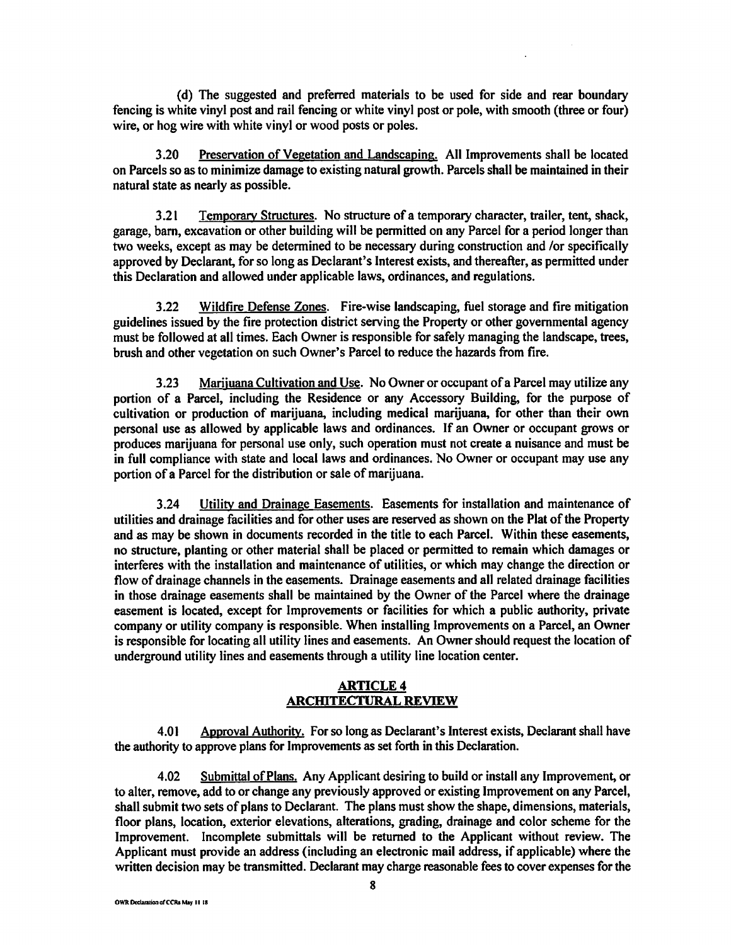( d) The suggested and preferred materials to be used for side and rear boundary fencing is white vinyl post and rail fencing or white vinyl post or pole, with smooth (three or four) wire, or hog wire with white vinyl or wood posts or poles.

3 .20 Preservation of Vegetation and Landscaping. All Improvements shall be located on Parcels so as to minimize damage to existing natural growth. Parcels shall be maintained in their natural state as nearly as possible.

3.21 Temporary Structures. No structure of a temporary character, trailer, tent, shack, garage, barn, excavation or other building will be permitted on any Parcel for a period longer than two weeks, except as may be determined to be necessary during construction and /or specifically approved by Declarant, for so long as Declarant's Interest exists, and thereafter, as permitted under this Declaration and allowed under applicable laws, ordinances, and regulations.

3.22 Wildfire Defense Zones. Fire-wise landscaping, fuel storage and fire mitigation guidelines issued by the fire protection district serving the Property or other governmental agency must be followed at all times. Each Owner is responsible for safely managing the landscape, trees, brush and other vegetation on such Owner's Parcel to reduce the hazards from fire.

3.23 Marijuana Cultivation and Use. No Owner or occupant of a Parcel may utilize any portion of a Parcel, including the Residence or any Accessory Building, for the purpose of cultivation or production of marijuana, including medical marijuana, for other than their own personal use as allowed by applicable laws and ordinances. If an Owner or occupant grows or produces marijuana for personal use only, such operation must not create a nuisance and must be in full compliance with state and local laws and ordinances. No Owner or occupant may use any portion of a Parcel for the distribution or sale of marijuana.

3.24 Utility and Drainage Easements. Easements for installation and maintenance of utilities and drainage facilities and for other uses are reserved as shown on the Plat of the Property and as may be shown in documents recorded in the title to each Parcel. Within these easements, no structure, planting or other material shall be placed or permitted to remain which damages or interferes with the installation and maintenance of utilities, or which may change the direction or flow of drainage channels in the easements. Drainage easements and all related drainage facilities in those drainage easements shall be maintained by the Owner of the Parcel where the drainage easement is located, except for Improvements or facilities for which a public authority, private company or utility company is responsible. When installing Improvements on a Parcel, an Owner is responsible for locating all utility lines and easements. An Owner should request the location of underground utility lines and easements through a utility line location center.

### **ARTICLE4 ARCIIlTECTURAL REVIEW**

4.0 I Approval Authority. For so long as Declarant's Interest exists, Declarant shall have the authority to approve plans for Improvements as set forth in this Declaration.

4.02 Submittal of Plans. Any Applicant desiring to build or install any Improvement, or to alter, remove, add to or change any previously approved or existing Improvement on any Parcel, shall submit two sets of plans to Declarant. The plans must show the shape, dimensions, materials, floor plans, location, exterior elevations, alterations, grading, drainage and color scheme for the Improvement. Incomplete submittals will be returned to the Applicant without review. The Applicant must provide an address (including an electronic mail address, if applicable) where the written decision may be transmitted. Declarant may charge reasonable fees to cover expenses for the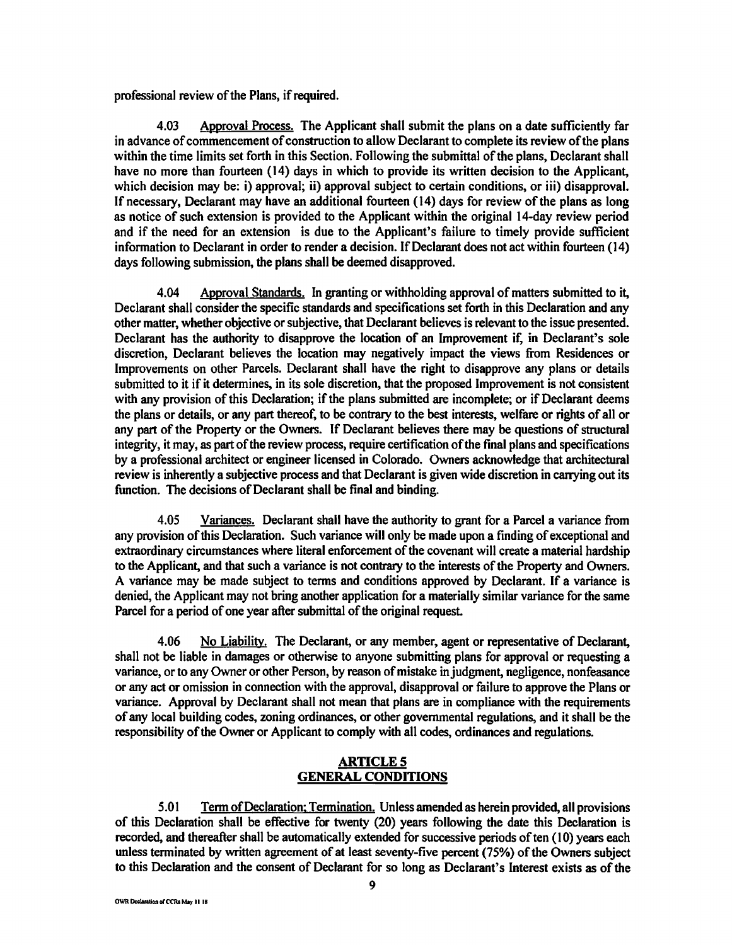professional review of the Plans, if required.

4.03 Approval Process. The Applicant shall submit the plans on a date sufficiently far in advance of commencement of construction to allow Declarant to complete its review of the plans within the time limits set forth in this Section. Following the submittal of the plans, Declarant shall have no more than fourteen (14) days in which to provide its written decision to the Applicant, which decision may be: i) approval; ii) approval subject to certain conditions, or iii) disapproval. If necessary, Declarant may have an additional fourteen (14) days for review of the plans as long as notice of such extension is provided to the Applicant within the original 14-day review period and if the need for an extension is due to the Applicant's failure to timely provide sufficient information to Declarant in order to render a decision. If Declarant does not act within fourteen (14) days following submission, the plans shall be deemed disapproved.

4.04 Approval Standards. In granting or withholding approval of matters submitted to it, Declarant shall consider the specific standards and specifications set forth in this Declaration and any other matter, whether objective or subjective, that Declarant believes is relevant to the issue presented. Declarant has the authority to disapprove the location of an Improvement if, in Declarant's sole discretion, Declarant believes the location may negatively impact the views from Residences or Improvements on other Parcels. Declarant shall have the right to disapprove any plans or details submitted to it if it determines, in its sole discretion, that the proposed Improvement is not consistent with any provision of this Declaration; if the plans submitted are incomplete; or if Declarant deems the plans or details, or any part thereof, to be contrary to the best interests, welfare or rights of all or any part of the Property or the Owners. If Declarant believes there may be questions of structural integrity, it may, as part of the review process, require certification of the final plans and specifications by a professional architect or engineer licensed in Colorado. Owners acknowledge that architectural review is inherently a subjective process and that Declarant is given wide discretion in carrying out its function. The decisions of Declarant shall be final and binding.

4.05 Variances. Declarant shall have the authority to grant for a Parcel a variance from any provision of this Declaration. Such variance will only be made upon a finding of exceptional and extraordinary circumstances where literal enforcement of the covenant will create a material hardship to the Applicant, and that such a variance is not contrary to the interests of the Property and Owners. A variance may be made subject to terms and conditions approved by Declarant. If a variance is denied, the Applicant may not bring another application for a materially similar variance for the same Parcel for a period of one year after submittal of the original request.

4.06 No Liability. The Declarant, or any member, agent or representative of Declarant, shall not be liable in damages or otherwise to anyone submitting plans for approval or requesting a variance, or to any Owner or other Person, by reason of mistake in judgment, negligence, nonfeasance or any act or omission in connection with the approval, disapproval or failure to approve the Plans or variance. Approval by Declarant shall not mean that plans are in compliance with the requirements of any local building codes, zoning ordinances, or other governmental regulations, and it shall be the responsibility of the Owner or Applicant to comply with all codes, ordinances and regulations.

## **ARTICLES GENERAL CONDITIONS**

5.0 I Term of Declaration; Termination. Unless amended as herein provided, all provisions of this Declaration shall be effective for twenty (20) years following the date this Declaration is recorded, and thereafter shall be automatically extended for successive periods of ten (10) years each unless terminated by written agreement of at least seventy-five percent (75%) of the Owners subject to this Declaration and the consent of Declarant for so long as Declarant's Interest exists as of the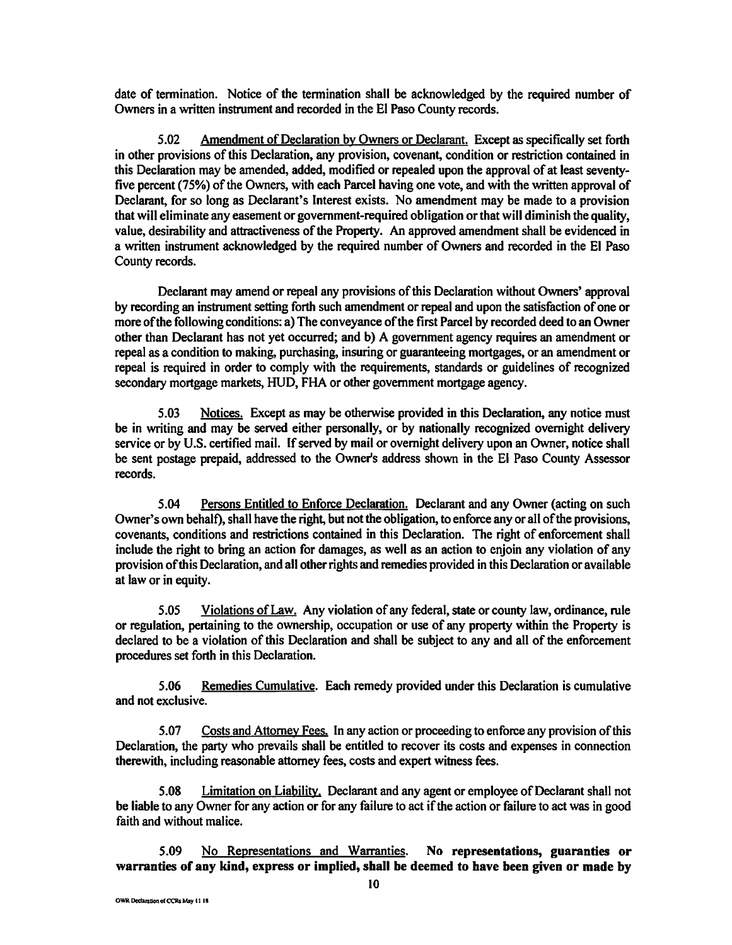date of termination. Notice of the termination shall be acknowledged by the required number of Owners in a written instrument and recorded in the El Paso County records.

5.02 Amendment of Declaration by Owners or Declarant. Except as specifically set forth in other provisions of this Declaration, any provision, covenant, condition or restriction contained in this Declaration may be amended, added, modified or repealed upon the approval of at least seventyfive percent (75%) of the Owners, with each Parcel having one vote, and with the written approval of Declarant, for so long as Declarant's Interest exists. No amendment may be made to a provision that will eliminate any easement or government-required obligation or that will diminish the quality, value, desirability and attractiveness of the Property. An approved amendment shall be evidenced in a written instrument acknowledged by the required number of Owners and recorded in the El Paso County records.

Declarant may amend or repeal any provisions of this Declaration without Owners' approval by recording an instrument setting forth such amendment or repeal and upon the satisfaction of one or more of the following conditions: a) The conveyance of the first Parcel by recorded deed to an Owner other than Declarant has not yet occurred; and b) A government agency requires an amendment or repeal as a condition to making, purchasing, insuring or guaranteeing mortgages, or an amendment or repeal is required in order to comply with the requirements, standards or guidelines of recognized secondary mortgage markets, HUD, FHA or other government mortgage agency.

5.03 Notices. Except as may be otherwise provided in this Declaration, any notice must be in writing and may be served either personally, or by nationally recognized overnight delivery service or by U.S. certified mail. If served by mail or overnight delivery upon an Owner, notice shall be sent postage prepaid, addressed to the Owner's address shown in the El Paso County Assessor records.

5.04 Persons Entitled to Enforce Declaration. Declarant and any Owner (acting on such Owner's own behalf), shall have the right, but not the obligation, to enforce any or all of the provisions, covenants, conditions and restrictions contained in this Declaration. The right of enforcement shall include the right to bring an action for damages, as well as an action to enjoin any violation of any provision of this Declaration, and all other rights and remedies provided in this Declaration or available at law or in equity.

5.05 Violations of Law. Any violation of any federal, state or county law, ordinance, rule or regulation, pertaining to the ownership, occupation or use of any property within the Property is declared to be a violation of this Declaration and shall be subject to any and all of the enforcement procedures set forth in this Declaration.

5.06 Remedies Cumulative. Each remedy provided under this Declaration is cumulative and not exclusive.

5.07 Costs and Attorney Fees. In any action or proceeding to enforce any provision of this Declaration, the party who prevails shall be entitled to recover its costs and expenses in connection therewith, including reasonable attorney fees, costs and expert witness fees.

5.08 Limitation on Liability, Declarant and any agent or employee of Declarant shall not be liable to any Owner for any action or for any failure to act if the action or failure to act was in good faith and without malice.

5.09 No Representations and Warranties. **No representations, guaranties or warranties of any kind, express or implied, shall be deemed to have been given or made by**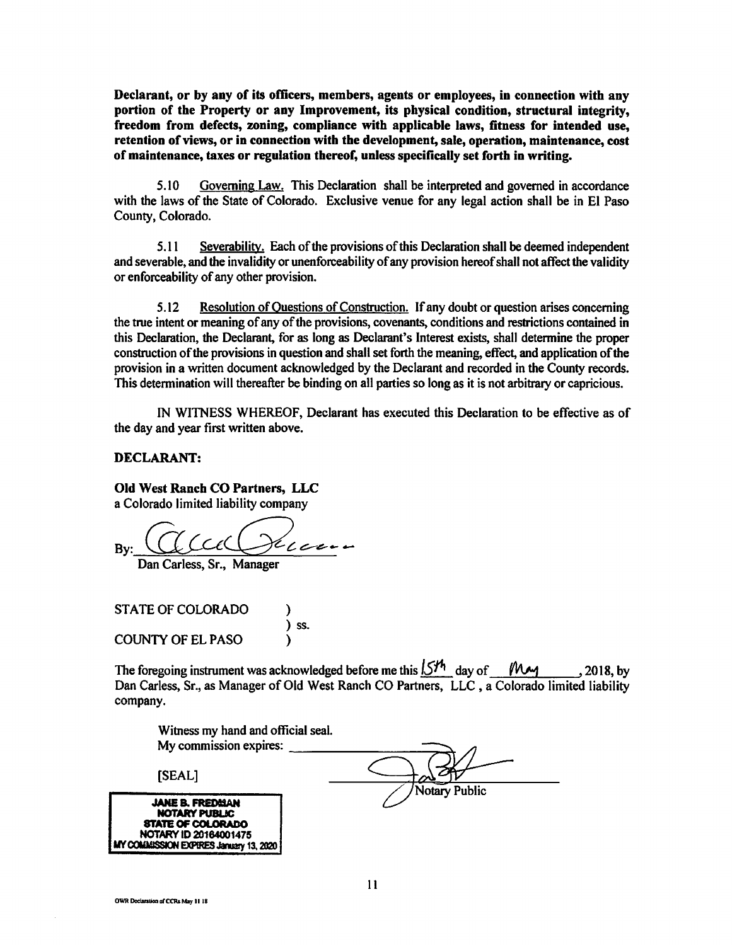**Declarant, or by any of its officers, members, agents or employees, in connection with any portion** of **the Property** or **any Improvement,** its **physical condition, structural integrity, freedom from defects, zoning, compliance with applicable laws, fitness for intended use, retention of views, or in connection with the development, sale, operation, maintenance, cost of maintenance, taxes or regulation thereof, unless specifically set forth in writing.** 

5.10 Governing Law. This Declaration shall be interpreted and governed in accordance with the laws of the State of Colorado. Exclusive venue for any legal action shall be in El Paso County, Colorado.

5.11 Severability. Each of the provisions of this Declaration shall be deemed independent and severable, and the invalidity or unenforceability of any provision hereof shall not affect the validity or enforceability of any other provision.

*5* .12 Resolution of Questions of Construction. If any doubt or question arises concerning the true intent or meaning of any of the provisions, covenants, conditions and restrictions contained in this Declaration, the Declarant, for as long as Declarant's Interest exists, shall detennine the proper construction of the provisions in question and shall set forth the meaning, effect, and application of the provision in a written document acknowledged by the Declarant and recorded in the County records. This determination will thereafter be binding on all parties so long as it is not arbitrary or capricious.

IN WITNESS WHEREOF, Declarant has executed this Declaration to be effective as of the day and year first written above.

### **DECLARANT:**

#### **Old West Ranch CO Partners, LLC**

a Colorado limited liability company

 $Bv:$   $\bigcup$   $\bigcup$   $\bigcup$   $\bigcup$   $\bigcup$   $\bigcup$   $\bigcup$   $\bigcup$   $\bigcup$   $\bigcup$   $\bigcup$   $\bigcup$   $\bigcup$   $\bigcup$   $\bigcup$   $\bigcup$   $\bigcup$   $\bigcup$   $\bigcup$   $\bigcup$   $\bigcup$   $\bigcup$   $\bigcup$   $\bigcup$   $\bigcup$   $\bigcup$   $\bigcup$   $\bigcup$   $\bigcup$   $\bigcup$   $\bigcup$   $\bigcup$   $\bigcup$   $\bigcup$   $\bigcup$   $\bigcup$ 

Dan Carless, Sr., Manager

STATE OF COLORADO ) ss. COUNTY OF EL PASO )

The foregoing instrument was acknowledged before me this  $5\frac{15\%}{100}$  day of *f* Dan Carless, Sr., as Manager of Old West Ranch CO Partners, LLC , a Colorado limited liability company.

| Witness my hand and official seal.                                                                  |               |
|-----------------------------------------------------------------------------------------------------|---------------|
| My commission expires:                                                                              |               |
| [SEAL]                                                                                              | Notary Public |
| <b>JANE B. FREDMAN</b><br><b>NOTARY PUBLIC</b><br><b>STATE OF COLORADO</b><br>NOTARY ID 20164001475 |               |

**<sup>1111</sup>C0UMISSION EXPIRES Jnmy** 13. 2020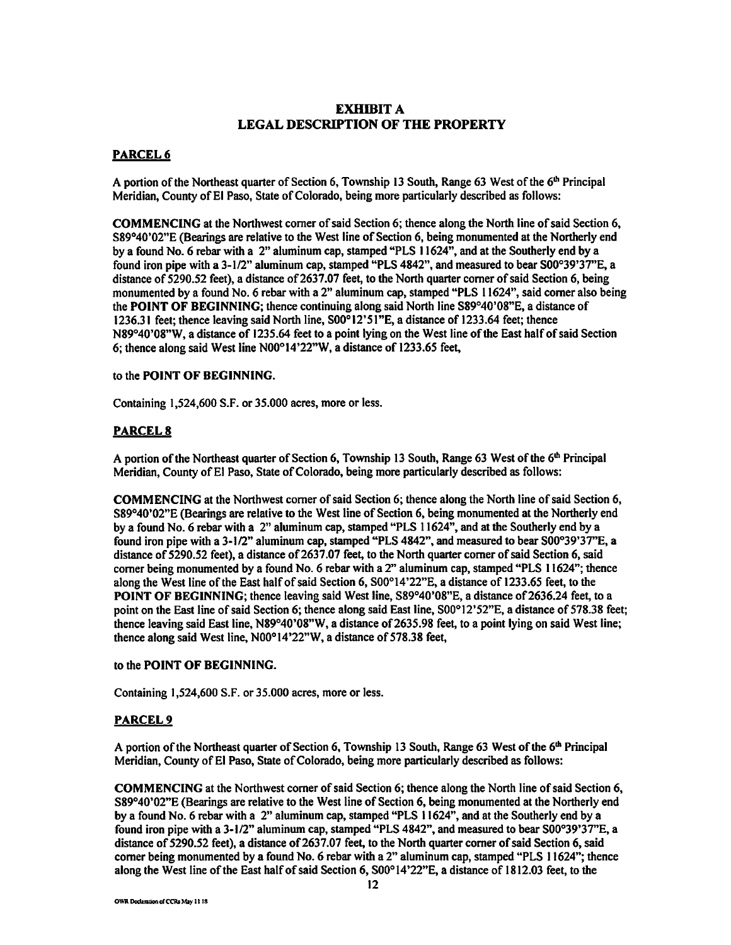## **EXHIBIT A LEGAL DESCRIPTION OF THE PROPERTY**

### **PARCEL6**

A portion of the Northeast quarter of Section 6, Township 13 South, Range 63 West of the  $6<sup>th</sup>$  Principal Meridian, County of El Paso, State of Colorado, being more particularly described as follows:

**COMMENCING** at the Northwest comer of said Section 6; thence along the North line of said Section 6, S89°40'02"E (Bearings are relative to the West line of Section 6, being monumented at the Northerly end by a found No. 6 rebar with a 2" aluminum cap, stamped "PLS 11624", and at the Southerly end by a found iron pipe with a 3-1/2" aluminum cap, stamped "PLS 4842", and measured to bear S00°39'3T'E, a distance of 5290.52 feet), a distance of 2637.07 feet, to the North quarter corner of said Section 6, being monumented by a found No. 6 rebar with a 2" aluminum cap, stamped "PLS 11624", said comer also being the **POINT OF BEGINNING;** thence continuing along said North line S89°40'08"E, a distance of 1236.31 feet; thence leaving said North line, S00°12'5l"E, a distance of 1233.64 feet; thence N89°40'08"W, a distance of 1235.64 feet to a point lying on the West line of the East half of said Section 6; thence along said West line N00°14'22"W, a distance of 1233.65 feet,

#### to the **POINT OF BEGINNING.**

Containing 1,524,600 S.F. or 35.000 acres, more or less.

### **PARCELS**

A portion of the Northeast quarter of Section 6, Township 13 South, Range 63 West of the  $6<sup>th</sup>$  Principal Meridian, County of El Paso, State of Colorado, being more particularly described as follows:

**COMMENCING** at the Northwest comer of said Section 6; thence along the North line of said Section 6, S89°40'02"E (Bearings are relative to the West line of Section 6, being monumented at the Northerly end by a found No. 6 rebar with a 2" aluminum cap, stamped "PLS 11624", and at the Southerly end by a found iron pipe with a 3-1/2" aluminum cap, stamped "PLS 4842", and measured to bear S00°39'3T'E, a distance of 5290.52 feet), a distance of 2637.07 feet, to the North quarter corner of said Section 6, said comer being monumented by a found No. 6 rebar with a 2" aluminum cap, stamped "PLS 11624"; thence along the West line of the East halfof said Section 6, S00°14'22"E, a distance of 1233.65 feet, to the **POINT OF BEGINNING;** thence leaving said West line, S89°40'08"E, a distance of 2636.24 feet, to a point on the East line of said Section 6; thence along said East line, S00°12' 52"E, a distance of 578.38 feet; thence leaving said East line, N89°40'08"W, a distance of 2635.98 feet, to a point lying on said West line; thence along said West line, N00°14'22"W, a distance of 578.38 feet,

#### to the **POINT OF BEGINNING.**

Containing 1,524,600 S.F. or 35.000 acres, more or less.

#### **PARCEL9**

A portion of the Northeast quarter of Section 6, Township 13 South, Range 63 West of the  $6<sup>th</sup>$  Principal Meridian, County of El Paso, State of Colorado, being more particularly described as follows:

**COMMENCING** at the Northwest comer of said Section 6; thence along the North line of said Section 6, S89°40'02"E (Bearings are relative to the West line of Section 6, being monumented at the Northerly end by a found No. 6 rebar with a 2" aluminum cap, stamped "PLS 11624", and at the Southerly end by a found iron pipe with a 3-1/2" aluminum cap, stamped "PLS 4842", and measured to bear S00°39'3T'E, a distance of 5290.52 feet), a distance of 2637.07 feet, to the North quarter comer of said Section 6, said comer being monumented by a found No. 6 rebar with a 2" aluminum cap, stamped "PLS 11624"; thence along the West line of the East half of said Section 6, S00°14'22"E, a distance of 1812.03 feet, to the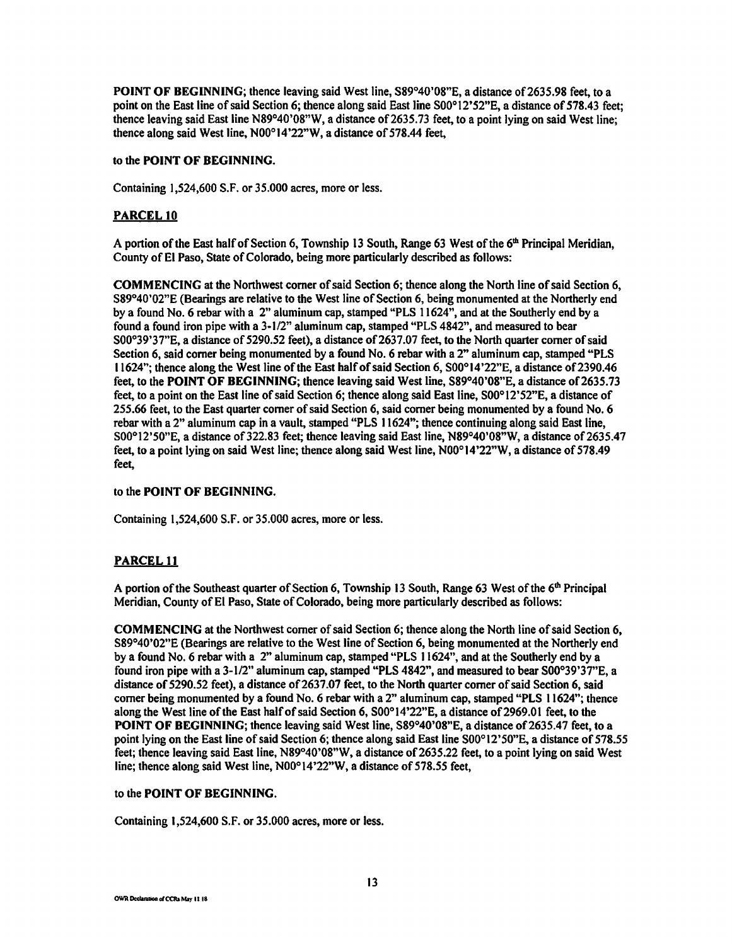POINT OF BEGINNING; thence leaving said West line, S89°40'08"E, a distance of 2635.98 feet, to a point on the East line of said Section 6; thence along said East line S00°12'52"E, a distance of 578.43 feet; thence leaving said East line N89°40'08"W, a distance of 2635.73 feet, to a point lying on said West line; thence along said West line, N00°14'22"W, a distance of 578.44 feet,

#### to the **POINT OF BEGINNING.**

Containing 1,524,600 S.F. or 35.000 acres, more or less.

### **PARCEL 10**

A portion of the East half of Section 6, Township 13 South, Range 63 West of the  $6<sup>th</sup>$  Principal Meridian, County of El Paso, State of Colorado, being more particularly described as follows:

**COMMENCING** at the Northwest comer of said Section 6; thence along the North line of said Section 6, S89°40'02"E (Bearings are relative to the West line of Section 6, being monumented at the Northerly end by a found No. 6 rebar with a 2" aluminum cap, stamped "PLS I 1624", and at the Southerly end by a found a found iron pipe with a 3-1/2" aluminum cap, stamped "PLS 4842", and measured to bear S00°39'37"E, a distance of 5290.52 feet), a distance of 2637.07 feet, to the North quarter corner of said Section 6, said comer being monumented by a found No. 6 rebar with a 2" aluminum cap, stamped "PLS 11624"; thence along the West line of the East halfofsaid Section 6, S00°14'22"E, a distance of2390.46 feet, to the **POINT OF BEGINNING;** thence leaving said West line, S89°40'08"E, a distance of2635.73 feet, to a point on the East line of said Section 6; thence along said East line, S00°12'52"E, a distance of 255.66 feet, to the East quarter comer of said Section 6, said comer being monumented by a found No. 6 rebar with a 2" aluminum cap in a vault, stamped "PLS 11624"; thence continuing along said East line, S00°l2'50"E, a distance of322.83 feet; thence leaving said East line, N89°40'08"W, a distance of 2635.47 feet, to a point lying on said West line; thence along said West line, N00°14'22"W, a distance of 578.49 feet,

#### to the **POINT OF BEGINNING.**

Containing 1,524,600 S.F. or 35.000 acres, more or less.

## **PARCEL 11**

A portion of the Southeast quarter of Section 6, Township 13 South, Range 63 West of the  $6<sup>th</sup>$  Principal Meridian, County of El Paso, State of Colorado, being more particularly described as follows:

**COMMENCING** at the Northwest comer of said Section 6; thence along the North line of said Section 6, S89°40'02"E (Bearings are relative to the West line of Section 6, being monumented at the Northerly end by a found No. 6 rebar with a 2" aluminum cap, stamped "PLS 11624", and at the Southerly end by a found iron pipe with a 3-1/2" aluminum cap, stamped "PLS 4842", and measured to bear S00°39'37"E, a distance of 5290.52 feet), a distance of 2637.07 feet, to the North quarter corner of said Section 6, said comer being monumented by a found No. 6 rebar with a 2" aluminum cap, stamped "PLS 11624"; thence along the West line of the East half of said Section 6, S00°14'22"E, a distance of 2969.01 feet, to the **POINT OF BEGINNING;** thence leaving said West line, S89°40'08"E, a distance of 2635.47 feet, to a point lying on the East line of said Section 6; thence along said East line S00°12'50"E, a distance of 578.55 feet; thence leaving said East line, N89°40'08"W, a distance of 2635.22 feet, to a point lying on said West line; thence along said West line, N00°14'22"W, a distance of 578.55 feet,

#### to the **POINT OF BEGINNING.**

Containing 1,524,600 S.F. or 35.000 acres, more or less.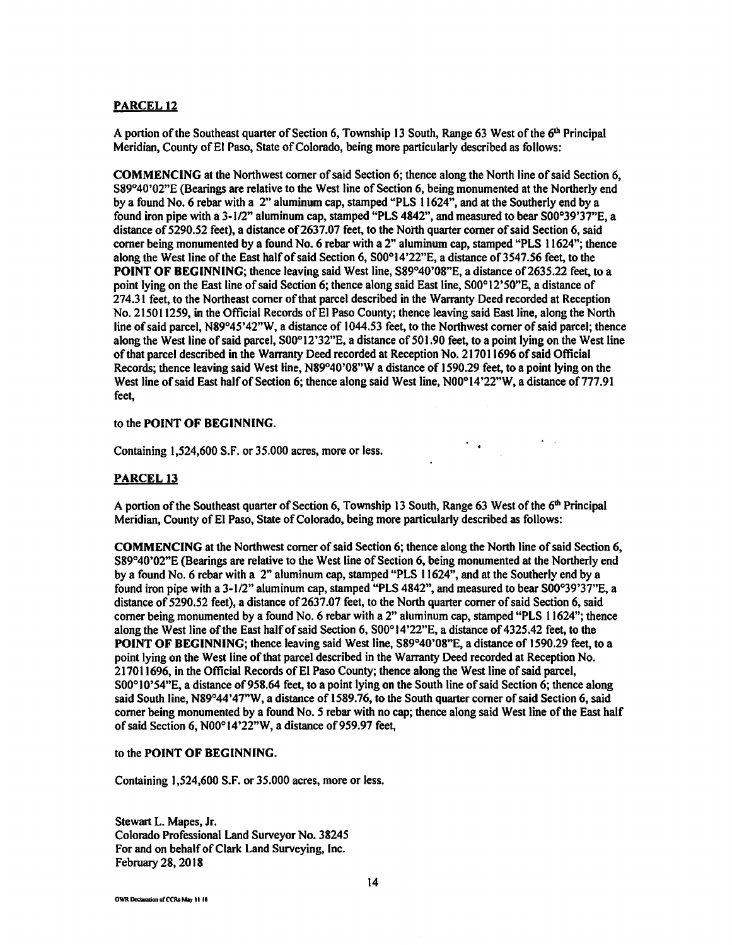#### **PARCEL 12**

A portion of the Southeast quarter of Section 6, Township 13 South, Range 63 West of the  $6<sup>th</sup>$  Principal Meridian, County of El Paso, State of Colorado, being more particularly described as follows:

**COMMENCING** at the Northwest comer of said Section 6; thence along the North line of said Section 6, S89°40'02"E (Bearings are relative to the West line of Section 6, being monumented at the Northerly end by a found No. 6 rebar with a 2" aluminum cap, stamped "PLS 11624", and at the Southerly end by a found iron pipe with a 3-1/2" aluminum cap, stamped "PLS 4842", and measured to bear S00°39'37"E, a distance of 5290.52 feet), a distance of 2637.07 feet, to the North quarter corner of said Section 6, said comer being monumented by a found No. 6 rebar with a 2" aluminum cap, stamped "PLS 11624"; thence along the West line of the East half of said Section 6, S00°14'22"E, a distance of 3547.56 feet, to the **POINT OF BEGINNING; thence leaving said West line, S89°40'08"E, a distance of 2635.22 feet, to a** point lying on the East line of said Section 6; thence along said East line, S00° 12'50"E, a distance of 274.31 feet, to the Northeast comer of that parcel described in the Warranty Deed recorded at Reception No. 215011259, in the Official Records of El Paso County; thence leaving said East line, along the North line of said parcel, N89°45'42"W, a distance of 1044.53 feet, to the Northwest corner of said parcel; thence along the West line of said parcel, S00°12'32"E, a distance of501.90 feet, to a point lying on the West line of that parcel described in the Warranty Deed recorded at Reception No. 217011696 of said Official Records; thence leaving said West line, N89°40'08"W a distance of 1590.29 feet, to a point lying on the West line of said East half of Section 6; thence along said West line, N00°14'22"W, a distance of 777.91 feet,

#### to the **POINT OF BEGINNING.**

Containing 1,524,600 S.F. or 35.000 acres, more or less.

#### **PARCEL13**

A portion of the Southeast quarter of Section 6, Township 13 South, Range 63 West of the  $6<sup>th</sup>$  Principal Meridian, County of El Paso, State of Colorado, being more particularly described as follows:

 $\mathcal{O}(\mathcal{E}_{\mathcal{O}_{\mathcal{A},\mathcal{O}_{\mathcal{A},\mathcal{O}}}})$ 

**COMMENCING** at the Northwest comer of said Section 6; thence along the North line of said Section 6, S89°40'02"E (Bearings are relative to the West line of Section 6, being monumented at the Northerly end by a found No. 6 rebar with a 2" aluminum cap, stamped "PLS 11624", and at the Southerly end by a found iron pipe with a 3-1/2" aluminum cap, stamped "PLS 4842", and measured to bear S00°39'37"E, a distance of 5290.52 feet), a distance of 2637.07 feet, to the North quarter corner of said Section 6, said corner being monumented by a found No. 6 rebar with a 2" aluminum cap, stamped "PLS 11624"; thence along the West line of the East halfof said Section 6, S00°14'22"E, a distance of 4325.42 feet, to the **POINT OF BEGINNING;** thence leaving said West line, S89°40'08"E, a distance of 1590.29 feet, to a point lying on the West line of that parcel described in the Warranty Deed recorded at Reception No. 217011696, in the Official Records of El Paso County; thence along the West line of said parcel, S00°10'54"E, a distance of 958.64 feet, to a point lying on the South line of said Section 6; thence along said South line, N89°44'47"W, a distance of 1589.76, to the South quarter comer of said Section 6, said corner being monumented by a found No. *5* rebar with no cap; thence along said West line of the East half of said Section 6, N00°14'22"W, a distance of 959.97 feet,

#### to the **POINT OF BEGINNING.**

Containing 1,524,600 S.F. or 35.000 acres, more or less.

Stewart L. Mapes, Jr. Colorado Professional Land Surveyor No. 38245 For and on behalf of Clark Land Surveying, Inc. February 28, 2018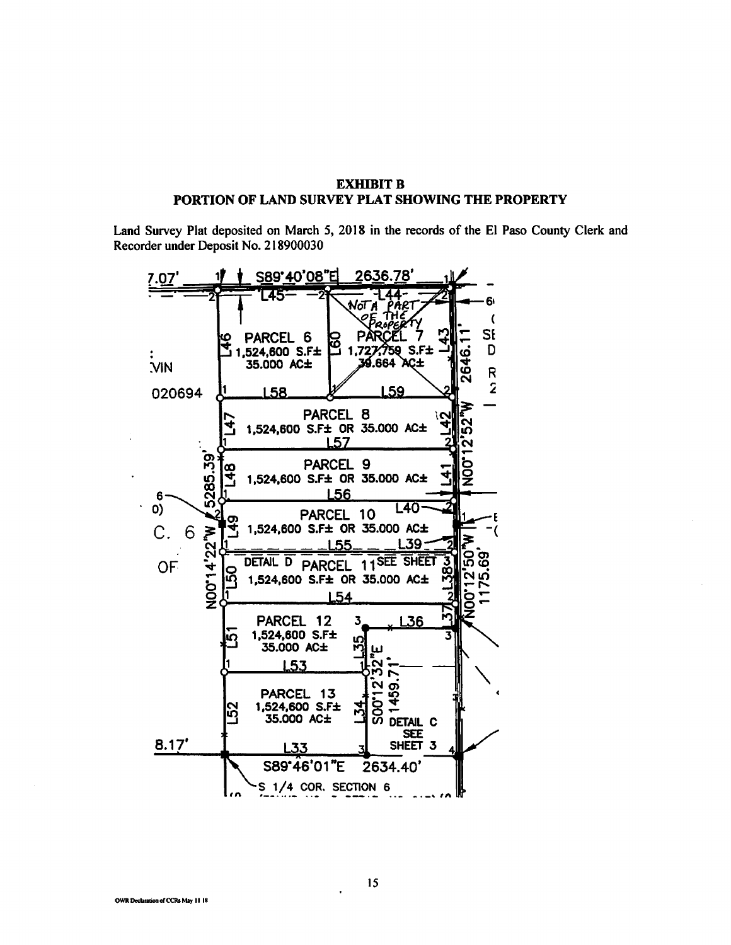## **EXHIBIT B** PORTION OF LAND SURVEY PLAT SHOWING THE PROPERTY

Land Survey Plat deposited on March 5, 2018 in the records of the El Paso County Clerk and Recorder under Deposit No. 218900030